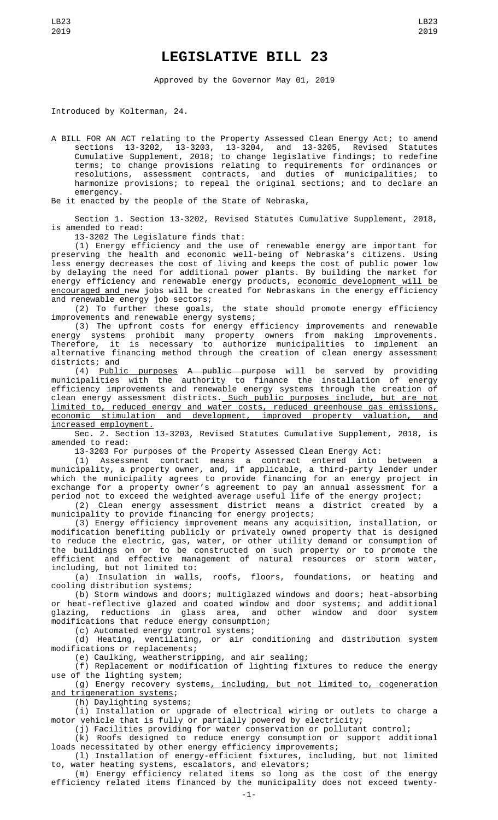## **LEGISLATIVE BILL 23**

Approved by the Governor May 01, 2019

Introduced by Kolterman, 24.

A BILL FOR AN ACT relating to the Property Assessed Clean Energy Act; to amend sections 13-3202, 13-3203, 13-3204, and 13-3205, Revised Statutes Cumulative Supplement, 2018; to change legislative findings; to redefine terms; to change provisions relating to requirements for ordinances or resolutions, assessment contracts, and duties of municipalities; to harmonize provisions; to repeal the original sections; and to declare an emergency

Be it enacted by the people of the State of Nebraska,

Section 1. Section 13-3202, Revised Statutes Cumulative Supplement, 2018, is amended to read:

13-3202 The Legislature finds that:

(1) Energy efficiency and the use of renewable energy are important for preserving the health and economic well-being of Nebraska's citizens. Using less energy decreases the cost of living and keeps the cost of public power low by delaying the need for additional power plants. By building the market for energy efficiency and renewable energy products, <u>economic development will be</u> encouraged and new jobs will be created for Nebraskans in the energy efficiency and renewable energy job sectors;

(2) To further these goals, the state should promote energy efficiency improvements and renewable energy systems;

(3) The upfront costs for energy efficiency improvements and renewable energy systems prohibit many property owners from making improvements. Therefore, it is necessary to authorize municipalities to implement an alternative financing method through the creation of clean energy assessment districts; and

(4) Public purposes A public purpose will be served by providing municipalities with the authority to finance the installation of energy efficiency improvements and renewable energy systems through the creation of clean energy assessment districts.<u> Such public purposes include, but are not</u> limited to, reduced energy and water costs, reduced greenhouse gas emissions, economic stimulation and development, improved property valuation, and increased employment.

Sec. 2. Section 13-3203, Revised Statutes Cumulative Supplement, 2018, is amended to read:

13-3203 For purposes of the Property Assessed Clean Energy Act:

(1) Assessment contract means a contract entered into between a municipality, a property owner, and, if applicable, a third-party lender under which the municipality agrees to provide financing for an energy project in exchange for a property owner's agreement to pay an annual assessment for a period not to exceed the weighted average useful life of the energy project;

(2) Clean energy assessment district means a district created by a municipality to provide financing for energy projects;

(3) Energy efficiency improvement means any acquisition, installation, or modification benefiting publicly or privately owned property that is designed to reduce the electric, gas, water, or other utility demand or consumption of the buildings on or to be constructed on such property or to promote the efficient and effective management of natural resources or storm water, including, but not limited to:

(a) Insulation in walls, roofs, floors, foundations, or heating and cooling distribution systems;

(b) Storm windows and doors; multiglazed windows and doors; heat-absorbing or heat-reflective glazed and coated window and door systems; and additional<br>glazing, reductions in glass area, and other window and door system glazing, reductions in glass area, and other window and door system modifications that reduce energy consumption;

(c) Automated energy control systems;

(d) Heating, ventilating, or air conditioning and distribution system modifications or replacements;

(e) Caulking, weatherstripping, and air sealing;

(f) Replacement or modification of lighting fixtures to reduce the energy use of the lighting system;

(g) Energy recovery systems, including, but not limited to, cogeneration and trigeneration systems;

(h) Daylighting systems;

(i) Installation or upgrade of electrical wiring or outlets to charge a motor vehicle that is fully or partially powered by electricity;

(j) Facilities providing for water conservation or pollutant control;

(k) Roofs designed to reduce energy consumption or support additional loads necessitated by other energy efficiency improvements;

(l) Installation of energy-efficient fixtures, including, but not limited to, water heating systems, escalators, and elevators;

(m) Energy efficiency related items so long as the cost of the energy efficiency related items financed by the municipality does not exceed twenty-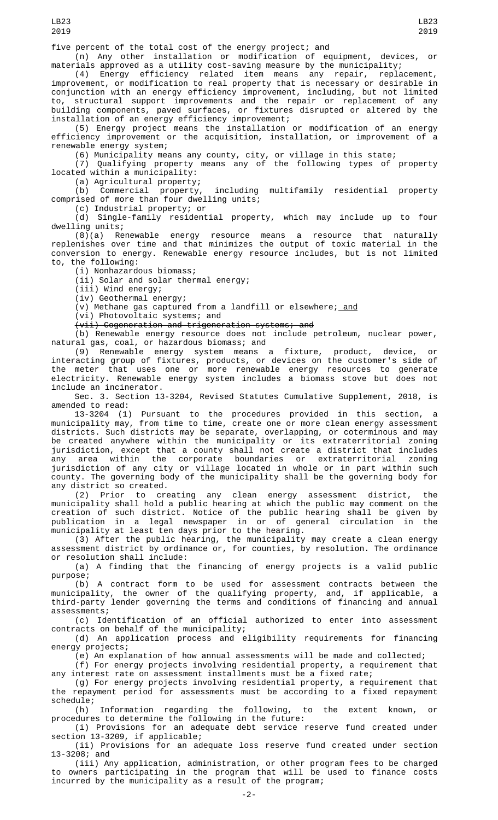(n) Any other installation or modification of equipment, devices, or materials approved as a utility cost-saving measure by the municipality;

(4) Energy efficiency related item means any repair, replacement, improvement, or modification to real property that is necessary or desirable in conjunction with an energy efficiency improvement, including, but not limited to, structural support improvements and the repair or replacement of any building components, paved surfaces, or fixtures disrupted or altered by the installation of an energy efficiency improvement;

(5) Energy project means the installation or modification of an energy efficiency improvement or the acquisition, installation, or improvement of a renewable energy system;

(6) Municipality means any county, city, or village in this state;

(7) Qualifying property means any of the following types of property located within a municipality:

(a) Agricultural property;

including multifamily residential property (b) Commercial property, including<br>comprised of more than four dwelling units;

(c) Industrial property; or

(d) Single-family residential property, which may include up to four dwelling units;

(8)(a) Renewable energy resource means a resource that naturally replenishes over time and that minimizes the output of toxic material in the conversion to energy. Renewable energy resource includes, but is not limited to, the following:

(i) Nonhazardous biomass;

(ii) Solar and solar thermal energy;

(iii) Wind energy;

(iv) Geothermal energy;

 $(v)$  Methane gas captured from a landfill or elsewhere; and

(vi) Photovoltaic systems; and

(vii) Cogeneration and trigeneration systems; and

(b) Renewable energy resource does not include petroleum, nuclear power, natural gas, coal, or hazardous biomass; and

(9) Renewable energy system means a fixture, product, device, or interacting group of fixtures, products, or devices on the customer's side of the meter that uses one or more renewable energy resources to generate electricity. Renewable energy system includes a biomass stove but does not include an incinerator.

Sec. 3. Section 13-3204, Revised Statutes Cumulative Supplement, 2018, is amended to read:

13-3204 (1) Pursuant to the procedures provided in this section, a municipality may, from time to time, create one or more clean energy assessment districts. Such districts may be separate, overlapping, or coterminous and may be created anywhere within the municipality or its extraterritorial zoning jurisdiction, except that a county shall not create a district that includes any area within the corporate boundaries or extraterritorial zoning jurisdiction of any city or village located in whole or in part within such county. The governing body of the municipality shall be the governing body for any district so created.

(2) Prior to creating any clean energy assessment district, the municipality shall hold a public hearing at which the public may comment on the creation of such district. Notice of the public hearing shall be given by publication in a legal newspaper in or of general circulation in the municipality at least ten days prior to the hearing.

(3) After the public hearing, the municipality may create a clean energy assessment district by ordinance or, for counties, by resolution. The ordinance or resolution shall include:

(a) A finding that the financing of energy projects is a valid public purpose;

(b) A contract form to be used for assessment contracts between the municipality, the owner of the qualifying property, and, if applicable, a third-party lender governing the terms and conditions of financing and annual assessments;

(c) Identification of an official authorized to enter into assessment contracts on behalf of the municipality;

(d) An application process and eligibility requirements for financing energy projects;

(e) An explanation of how annual assessments will be made and collected;

(f) For energy projects involving residential property, a requirement that any interest rate on assessment installments must be a fixed rate;

(g) For energy projects involving residential property, a requirement that the repayment period for assessments must be according to a fixed repayment schedule;

(h) Information regarding the following, to the extent known, or procedures to determine the following in the future:

(i) Provisions for an adequate debt service reserve fund created under section 13-3209, if applicable;

(ii) Provisions for an adequate loss reserve fund created under section 13-3208; and

(iii) Any application, administration, or other program fees to be charged to owners participating in the program that will be used to finance costs incurred by the municipality as a result of the program;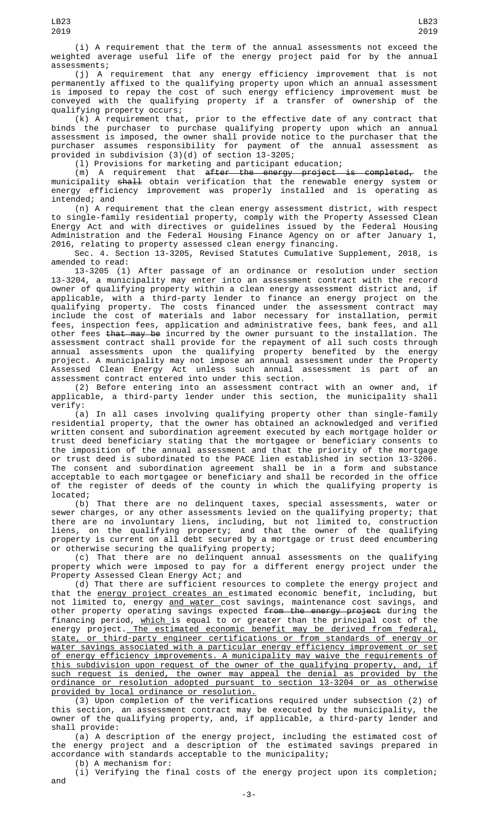(i) A requirement that the term of the annual assessments not exceed the weighted average useful life of the energy project paid for by the annual assessments;

(j) A requirement that any energy efficiency improvement that is not permanently affixed to the qualifying property upon which an annual assessment is imposed to repay the cost of such energy efficiency improvement must be conveyed with the qualifying property if a transfer of ownership of the qualifying property occurs;

(k) A requirement that, prior to the effective date of any contract that binds the purchaser to purchase qualifying property upon which an annual assessment is imposed, the owner shall provide notice to the purchaser that the purchaser assumes responsibility for payment of the annual assessment as provided in subdivision (3)(d) of section 13-3205;

(l) Provisions for marketing and participant education;

(m) A requirement that <del>after the energy project is completed,</del> the municipality <del>shall</del> obtain verification that the renewable energy system or energy efficiency improvement was properly installed and is operating as intended; and

(n) A requirement that the clean energy assessment district, with respect to single-family residential property, comply with the Property Assessed Clean Energy Act and with directives or guidelines issued by the Federal Housing Administration and the Federal Housing Finance Agency on or after January 1, 2016, relating to property assessed clean energy financing.

Sec. 4. Section 13-3205, Revised Statutes Cumulative Supplement, 2018, is amended to read:

13-3205 (1) After passage of an ordinance or resolution under section 13-3204, a municipality may enter into an assessment contract with the record owner of qualifying property within a clean energy assessment district and, if applicable, with a third-party lender to finance an energy project on the qualifying property. The costs financed under the assessment contract may include the cost of materials and labor necessary for installation, permit fees, inspection fees, application and administrative fees, bank fees, and all other fees <del>that may be</del> incurred by the owner pursuant to the installation. The assessment contract shall provide for the repayment of all such costs through annual assessments upon the qualifying property benefited by the energy project. A municipality may not impose an annual assessment under the Property Assessed Clean Energy Act unless such annual assessment is part of an assessment contract entered into under this section.

(2) Before entering into an assessment contract with an owner and, if applicable, a third-party lender under this section, the municipality shall verify:

(a) In all cases involving qualifying property other than single-family residential property, that the owner has obtained an acknowledged and verified written consent and subordination agreement executed by each mortgage holder or trust deed beneficiary stating that the mortgagee or beneficiary consents to the imposition of the annual assessment and that the priority of the mortgage or trust deed is subordinated to the PACE lien established in section 13-3206. The consent and subordination agreement shall be in a form and substance acceptable to each mortgagee or beneficiary and shall be recorded in the office of the register of deeds of the county in which the qualifying property is located;

(b) That there are no delinquent taxes, special assessments, water or sewer charges, or any other assessments levied on the qualifying property; that there are no involuntary liens, including, but not limited to, construction liens, on the qualifying property; and that the owner of the qualifying property is current on all debt secured by a mortgage or trust deed encumbering or otherwise securing the qualifying property;

(c) That there are no delinquent annual assessments on the qualifying property which were imposed to pay for a different energy project under the Property Assessed Clean Energy Act; and

(d) That there are sufficient resources to complete the energy project and that the energy project creates an estimated economic benefit, including, but not limited to, energy <u>and water c</u>ost savings, maintenance cost savings, and other property operating savings expected <del>from the energy project</del> during the financing period, <u>which </u>is equal to or greater than the principal cost of the energy project. The estimated economic benefit may be derived from federal, state, or third-party engineer certifications or from standards of energy or water savings associated with a particular energy efficiency improvement or set of energy efficiency improvements. A municipality may waive the requirements of<br>this subdivision upon request of the owner of the qualifying property, and, if this subdivision upon request of the owner of the qualifying property, and, such request is denied, the owner may appeal the denial as provided by the ordinance or resolution adopted pursuant to section 13-3204 or as otherwise provided by local ordinance or resolution.

(3) Upon completion of the verifications required under subsection (2) of this section, an assessment contract may be executed by the municipality, the owner of the qualifying property, and, if applicable, a third-party lender and shall provide:

(a) A description of the energy project, including the estimated cost of the energy project and a description of the estimated savings prepared in accordance with standards acceptable to the municipality;

(b) A mechanism for:

(i) Verifying the final costs of the energy project upon its completion; and